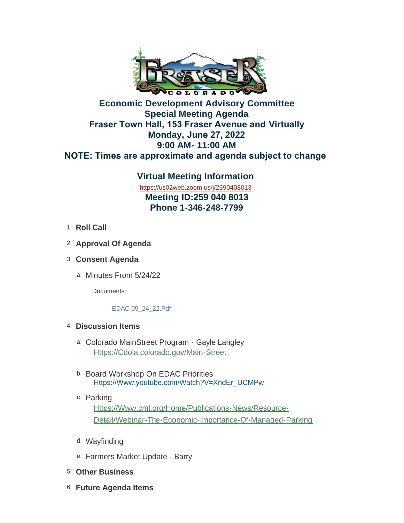

# **Economic Development Advisory Committee Special Meeting Agenda Fraser Town Hall, 153 Fraser Avenue and Virtually Monday, June 27, 2022 9:00 AM- 11:00 AM NOTE: Times are approximate and agenda subject to change**

## **Virtual Meeting Information** <https://us02web.zoom.us/j/2590408013>

**Meeting ID:259 040 8013 Phone 1-346-248-7799**

- 1. Roll Call
- **Approval Of Agenda** 2.
- **Consent Agenda**  3.
	- a. Minutes From 5/24/22

Documents:

#### EDAC 05\_24\_22.Pdf

## **Discussion Items**  4.

- Colorado MainStreet Program Gayle Langley a. [Https://Cdola.colorado.gov/Main-Street](https://cdola.colorado.gov/main-street)
- b. Board Workshop On EDAC Priorities [Https://Www.youtube.com/Watch?V=XndEr\\_UCMPw](https://www.youtube.com/watch?v=xndEr_uCMPw)
- c. Parking Https://Www.cml.org/Home/Publications-News/Resource-[Detail/Webinar-The-Economic-Importance-Of-Managed-Parking](https://www.cml.org/home/publications-news/resource-detail/webinar-the-economic-importance-of-managed-parking)
- d. Wayfinding
- e. Farmers Market Update Barry
- **Other Business** 5.
- **Future Agenda Items** 6.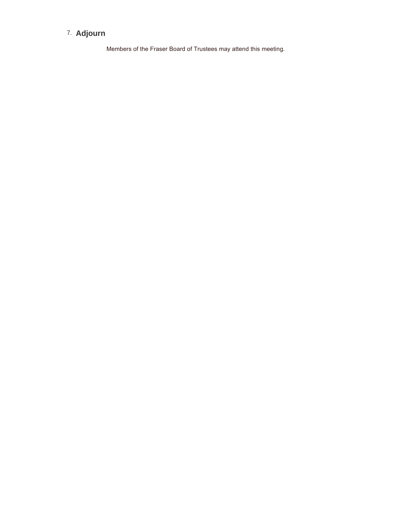#### **Adjourn**  7.

Members of the Fraser Board of Trustees may attend this meeting.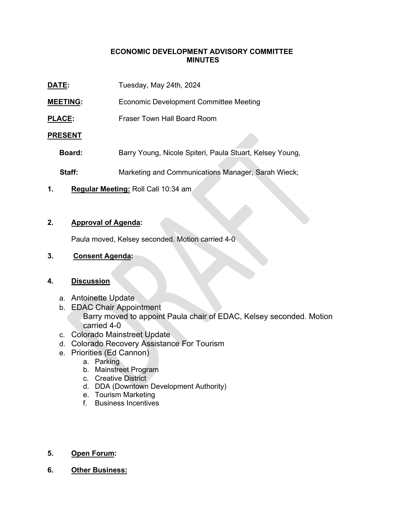#### **ECONOMIC DEVELOPMENT ADVISORY COMMITTEE MINUTES**

| DATE:                                     | Tuesday, May 24th, 2024                                  |
|-------------------------------------------|----------------------------------------------------------|
| <b>MEETING:</b>                           | <b>Economic Development Committee Meeting</b>            |
| <b>PLACE:</b>                             | Fraser Town Hall Board Room                              |
| <b>PRESENT</b>                            |                                                          |
| Board:                                    | Barry Young, Nicole Spiteri, Paula Stuart, Kelsey Young, |
| Staff:                                    | Marketing and Communications Manager, Sarah Wieck;       |
| Regular Meeting: Roll Call 10:34 am<br>1. |                                                          |

#### **2. Approval of Agenda:**

Paula moved, Kelsey seconded. Motion carried 4-0

#### **3. Consent Agenda:**

#### **4. Discussion**

- a. Antoinette Update
- b. EDAC Chair Appointment Barry moved to appoint Paula chair of EDAC, Kelsey seconded. Motion carried 4-0
- c. Colorado Mainstreet Update
- d. Colorado Recovery Assistance For Tourism
- e. Priorities (Ed Cannon)
	- a. Parking
	- b. Mainstreet Program
	- c. Creative District
	- d. DDA (Downtown Development Authority)
	- e. Tourism Marketing
	- f. Business Incentives

#### **5. Open Forum:**

**6. Other Business:**